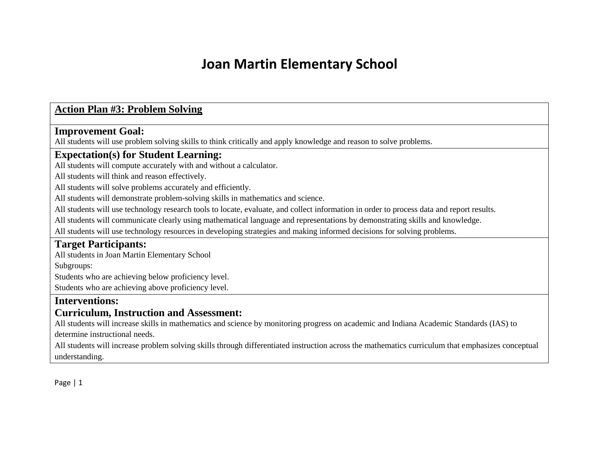### **Action Plan #3: Problem Solving**

#### **Improvement Goal:**

All students will use problem solving skills to think critically and apply knowledge and reason to solve problems.

### **Expectation(s) for Student Learning:**

All students will compute accurately with and without a calculator.

All students will think and reason effectively.

All students will solve problems accurately and efficiently.

All students will demonstrate problem-solving skills in mathematics and science.

All students will use technology research tools to locate, evaluate, and collect information in order to process data and report results.

All students will communicate clearly using mathematical language and representations by demonstrating skills and knowledge.

All students will use technology resources in developing strategies and making informed decisions for solving problems.

### **Target Participants:**

All students in Joan Martin Elementary School

Subgroups:

Students who are achieving below proficiency level.

Students who are achieving above proficiency level.

#### **Interventions:**

### **Curriculum, Instruction and Assessment:**

All students will increase skills in mathematics and science by monitoring progress on academic and Indiana Academic Standards (IAS) to determine instructional needs.

All students will increase problem solving skills through differentiated instruction across the mathematics curriculum that emphasizes conceptual understanding.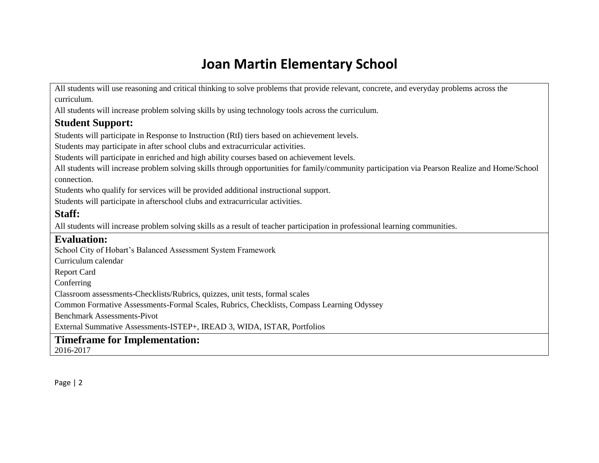All students will use reasoning and critical thinking to solve problems that provide relevant, concrete, and everyday problems across the curriculum.

All students will increase problem solving skills by using technology tools across the curriculum.

### **Student Support:**

Students will participate in Response to Instruction (RtI) tiers based on achievement levels.

Students may participate in after school clubs and extracurricular activities.

Students will participate in enriched and high ability courses based on achievement levels.

All students will increase problem solving skills through opportunities for family/community participation via Pearson Realize and Home/School connection.

Students who qualify for services will be provided additional instructional support.

Students will participate in afterschool clubs and extracurricular activities.

### **Staff:**

All students will increase problem solving skills as a result of teacher participation in professional learning communities.

### **Evaluation:**

School City of Hobart's Balanced Assessment System Framework

Curriculum calendar

Report Card

Conferring

Classroom assessments-Checklists/Rubrics, quizzes, unit tests, formal scales

Common Formative Assessments-Formal Scales, Rubrics, Checklists, Compass Learning Odyssey

Benchmark Assessments-Pivot

External Summative Assessments-ISTEP+, IREAD 3, WIDA, ISTAR, Portfolios

### **Timeframe for Implementation:**

2016-2017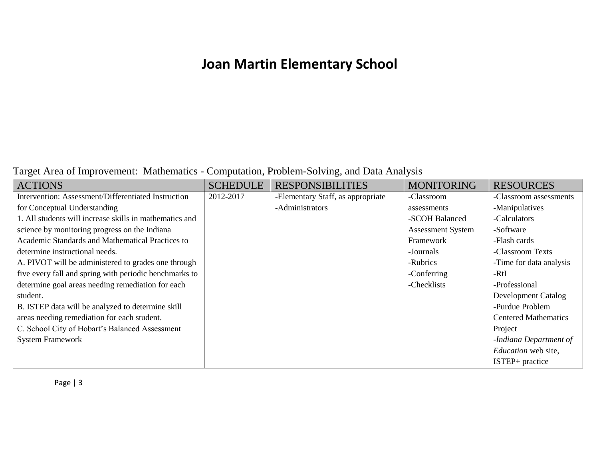### Target Area of Improvement: Mathematics - Computation, Problem-Solving, and Data Analysis

| <b>ACTIONS</b>                                          | <b>SCHEDULE</b> | <b>RESPONSIBILITIES</b>           | <b>MONITORING</b>        | <b>RESOURCES</b>            |
|---------------------------------------------------------|-----------------|-----------------------------------|--------------------------|-----------------------------|
| Intervention: Assessment/Differentiated Instruction     | 2012-2017       | -Elementary Staff, as appropriate | -Classroom               | -Classroom assessments      |
| for Conceptual Understanding                            |                 | -Administrators                   | assessments              | -Manipulatives              |
| 1. All students will increase skills in mathematics and |                 |                                   | -SCOH Balanced           | -Calculators                |
| science by monitoring progress on the Indiana           |                 |                                   | <b>Assessment System</b> | -Software                   |
| Academic Standards and Mathematical Practices to        |                 |                                   | Framework                | -Flash cards                |
| determine instructional needs.                          |                 |                                   | -Journals                | -Classroom Texts            |
| A. PIVOT will be administered to grades one through     |                 |                                   | -Rubrics                 | -Time for data analysis     |
| five every fall and spring with periodic benchmarks to  |                 |                                   | -Conferring              | -RtI                        |
| determine goal areas needing remediation for each       |                 |                                   | -Checklists              | -Professional               |
| student.                                                |                 |                                   |                          | <b>Development Catalog</b>  |
| B. ISTEP data will be analyzed to determine skill       |                 |                                   |                          | -Purdue Problem             |
| areas needing remediation for each student.             |                 |                                   |                          | <b>Centered Mathematics</b> |
| C. School City of Hobart's Balanced Assessment          |                 |                                   |                          | Project                     |
| <b>System Framework</b>                                 |                 |                                   |                          | -Indiana Department of      |
|                                                         |                 |                                   |                          | Education web site,         |
|                                                         |                 |                                   |                          | ISTEP+ practice             |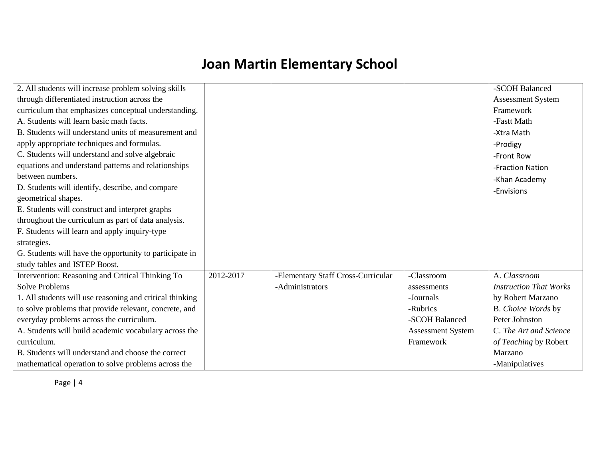| 2. All students will increase problem solving skills     |           |                                    |                          | -SCOH Balanced                |
|----------------------------------------------------------|-----------|------------------------------------|--------------------------|-------------------------------|
| through differentiated instruction across the            |           |                                    |                          | <b>Assessment System</b>      |
| curriculum that emphasizes conceptual understanding.     |           |                                    |                          | Framework                     |
| A. Students will learn basic math facts.                 |           |                                    |                          | -Fastt Math                   |
| B. Students will understand units of measurement and     |           |                                    |                          | -Xtra Math                    |
| apply appropriate techniques and formulas.               |           |                                    |                          | -Prodigy                      |
| C. Students will understand and solve algebraic          |           |                                    |                          | -Front Row                    |
| equations and understand patterns and relationships      |           |                                    |                          | -Fraction Nation              |
| between numbers.                                         |           |                                    |                          | -Khan Academy                 |
| D. Students will identify, describe, and compare         |           |                                    |                          | -Envisions                    |
| geometrical shapes.                                      |           |                                    |                          |                               |
| E. Students will construct and interpret graphs          |           |                                    |                          |                               |
| throughout the curriculum as part of data analysis.      |           |                                    |                          |                               |
| F. Students will learn and apply inquiry-type            |           |                                    |                          |                               |
| strategies.                                              |           |                                    |                          |                               |
| G. Students will have the opportunity to participate in  |           |                                    |                          |                               |
| study tables and ISTEP Boost.                            |           |                                    |                          |                               |
| Intervention: Reasoning and Critical Thinking To         | 2012-2017 | -Elementary Staff Cross-Curricular | -Classroom               | A. Classroom                  |
| <b>Solve Problems</b>                                    |           | -Administrators                    | assessments              | <b>Instruction That Works</b> |
| 1. All students will use reasoning and critical thinking |           |                                    | -Journals                | by Robert Marzano             |
| to solve problems that provide relevant, concrete, and   |           |                                    | -Rubrics                 | B. Choice Words by            |
| everyday problems across the curriculum.                 |           |                                    | -SCOH Balanced           | Peter Johnston                |
| A. Students will build academic vocabulary across the    |           |                                    | <b>Assessment System</b> | C. The Art and Science        |
| curriculum.                                              |           |                                    | Framework                | of Teaching by Robert         |
| B. Students will understand and choose the correct       |           |                                    |                          | Marzano                       |
| mathematical operation to solve problems across the      |           |                                    |                          | -Manipulatives                |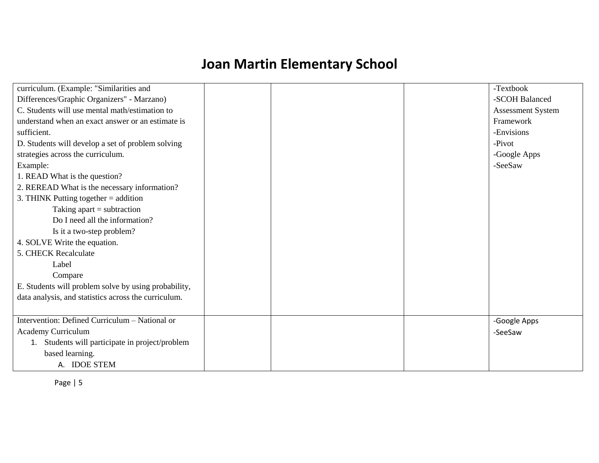| curriculum. (Example: "Similarities and              | -Textbook                |
|------------------------------------------------------|--------------------------|
| Differences/Graphic Organizers" - Marzano)           | -SCOH Balanced           |
| C. Students will use mental math/estimation to       | <b>Assessment System</b> |
| understand when an exact answer or an estimate is    | Framework                |
| sufficient.                                          | -Envisions               |
| D. Students will develop a set of problem solving    | -Pivot                   |
| strategies across the curriculum.                    | -Google Apps             |
| Example:                                             | -SeeSaw                  |
| 1. READ What is the question?                        |                          |
| 2. REREAD What is the necessary information?         |                          |
| 3. THINK Putting together $=$ addition               |                          |
| Taking apart $=$ subtraction                         |                          |
| Do I need all the information?                       |                          |
| Is it a two-step problem?                            |                          |
| 4. SOLVE Write the equation.                         |                          |
| 5. CHECK Recalculate                                 |                          |
| Label                                                |                          |
| Compare                                              |                          |
| E. Students will problem solve by using probability, |                          |
| data analysis, and statistics across the curriculum. |                          |
|                                                      |                          |
| Intervention: Defined Curriculum - National or       | -Google Apps             |
| <b>Academy Curriculum</b>                            | -SeeSaw                  |
| 1. Students will participate in project/problem      |                          |
| based learning.                                      |                          |
| A. IDOE STEM                                         |                          |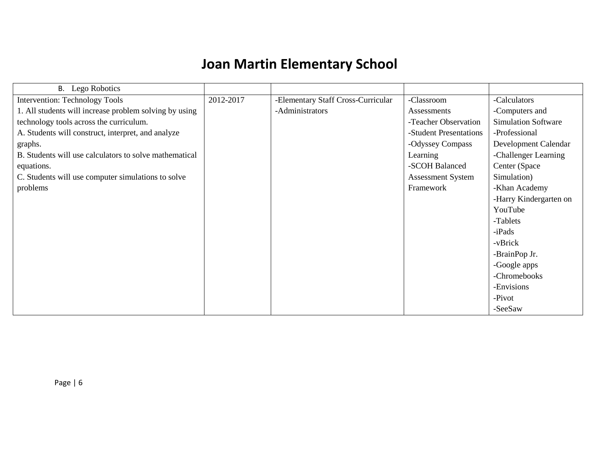| Lego Robotics<br><b>B.</b>                             |           |                                    |                          |                            |
|--------------------------------------------------------|-----------|------------------------------------|--------------------------|----------------------------|
| Intervention: Technology Tools                         | 2012-2017 | -Elementary Staff Cross-Curricular | -Classroom               | -Calculators               |
| 1. All students will increase problem solving by using |           | -Administrators                    | Assessments              | -Computers and             |
| technology tools across the curriculum.                |           |                                    | -Teacher Observation     | <b>Simulation Software</b> |
| A. Students will construct, interpret, and analyze     |           |                                    | -Student Presentations   | -Professional              |
| graphs.                                                |           |                                    | -Odyssey Compass         | Development Calendar       |
| B. Students will use calculators to solve mathematical |           |                                    | Learning                 | -Challenger Learning       |
| equations.                                             |           |                                    | -SCOH Balanced           | Center (Space              |
| C. Students will use computer simulations to solve     |           |                                    | <b>Assessment System</b> | Simulation)                |
| problems                                               |           |                                    | Framework                | -Khan Academy              |
|                                                        |           |                                    |                          | -Harry Kindergarten on     |
|                                                        |           |                                    |                          | YouTube                    |
|                                                        |           |                                    |                          | -Tablets                   |
|                                                        |           |                                    |                          | $-iPads$                   |
|                                                        |           |                                    |                          | -vBrick                    |
|                                                        |           |                                    |                          | -BrainPop Jr.              |
|                                                        |           |                                    |                          | -Google apps               |
|                                                        |           |                                    |                          | -Chromebooks               |
|                                                        |           |                                    |                          | -Envisions                 |
|                                                        |           |                                    |                          | -Pivot                     |
|                                                        |           |                                    |                          | -SeeSaw                    |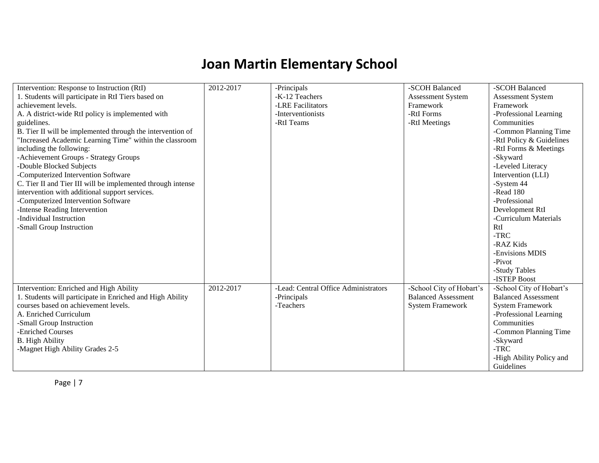| Intervention: Response to Instruction (RtI)                 | 2012-2017 | -Principals                          | -SCOH Balanced             | -SCOH Balanced             |
|-------------------------------------------------------------|-----------|--------------------------------------|----------------------------|----------------------------|
| 1. Students will participate in RtI Tiers based on          |           | -K-12 Teachers                       | Assessment System          | Assessment System          |
| achievement levels.                                         |           | -LRE Facilitators                    | Framework                  | Framework                  |
| A. A district-wide RtI policy is implemented with           |           | -Interventionists                    | -RtI Forms                 | -Professional Learning     |
| guidelines.                                                 |           | -RtI Teams                           | -RtI Meetings              | Communities                |
| B. Tier II will be implemented through the intervention of  |           |                                      |                            | -Common Planning Time      |
| 'Increased Academic Learning Time" within the classroom     |           |                                      |                            | -RtI Policy & Guidelines   |
| including the following:                                    |           |                                      |                            | -RtI Forms & Meetings      |
| -Achievement Groups - Strategy Groups                       |           |                                      |                            | -Skyward                   |
| -Double Blocked Subjects                                    |           |                                      |                            | -Leveled Literacy          |
| -Computerized Intervention Software                         |           |                                      |                            | Intervention (LLI)         |
| C. Tier II and Tier III will be implemented through intense |           |                                      |                            | -System 44                 |
| intervention with additional support services.              |           |                                      |                            | -Read 180                  |
| -Computerized Intervention Software                         |           |                                      |                            | -Professional              |
| -Intense Reading Intervention                               |           |                                      |                            | Development RtI            |
| -Individual Instruction                                     |           |                                      |                            | -Curriculum Materials      |
| -Small Group Instruction                                    |           |                                      |                            | RtI                        |
|                                                             |           |                                      |                            | -TRC                       |
|                                                             |           |                                      |                            | -RAZ Kids                  |
|                                                             |           |                                      |                            | -Envisions MDIS            |
|                                                             |           |                                      |                            | -Pivot                     |
|                                                             |           |                                      |                            | -Study Tables              |
|                                                             |           |                                      |                            | -ISTEP Boost               |
| Intervention: Enriched and High Ability                     | 2012-2017 | -Lead: Central Office Administrators | -School City of Hobart's   | -School City of Hobart's   |
| 1. Students will participate in Enriched and High Ability   |           | -Principals                          | <b>Balanced Assessment</b> | <b>Balanced Assessment</b> |
| courses based on achievement levels.                        |           | -Teachers                            | <b>System Framework</b>    | <b>System Framework</b>    |
| A. Enriched Curriculum                                      |           |                                      |                            | -Professional Learning     |
| -Small Group Instruction                                    |           |                                      |                            | Communities                |
| -Enriched Courses                                           |           |                                      |                            | -Common Planning Time      |
| <b>B.</b> High Ability                                      |           |                                      |                            | -Skyward                   |
| -Magnet High Ability Grades 2-5                             |           |                                      |                            | $-TRC$                     |
|                                                             |           |                                      |                            | -High Ability Policy and   |
|                                                             |           |                                      |                            | Guidelines                 |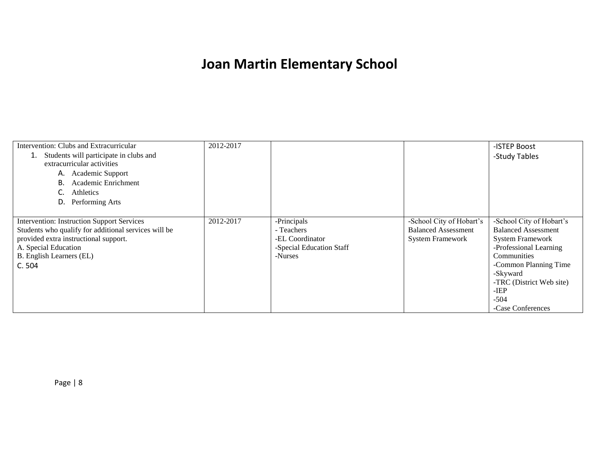| Intervention: Clubs and Extracurricular              | 2012-2017 |                          |                            | -ISTEP Boost               |
|------------------------------------------------------|-----------|--------------------------|----------------------------|----------------------------|
| Students will participate in clubs and               |           |                          |                            | -Study Tables              |
| extracurricular activities                           |           |                          |                            |                            |
| A. Academic Support                                  |           |                          |                            |                            |
| Academic Enrichment<br>В.                            |           |                          |                            |                            |
| Athletics                                            |           |                          |                            |                            |
| Performing Arts<br>D.                                |           |                          |                            |                            |
|                                                      |           |                          |                            |                            |
| <b>Intervention: Instruction Support Services</b>    | 2012-2017 | -Principals              | -School City of Hobart's   | -School City of Hobart's   |
| Students who qualify for additional services will be |           | - Teachers               | <b>Balanced Assessment</b> | <b>Balanced Assessment</b> |
| provided extra instructional support.                |           | -EL Coordinator          | <b>System Framework</b>    | <b>System Framework</b>    |
| A. Special Education                                 |           | -Special Education Staff |                            | -Professional Learning     |
| B. English Learners (EL)                             |           | -Nurses                  |                            | Communities                |
| C.504                                                |           |                          |                            | -Common Planning Time      |
|                                                      |           |                          |                            | -Skyward                   |
|                                                      |           |                          |                            | -TRC (District Web site)   |
|                                                      |           |                          |                            | $-IEP$                     |
|                                                      |           |                          |                            | $-504$                     |
|                                                      |           |                          |                            | -Case Conferences          |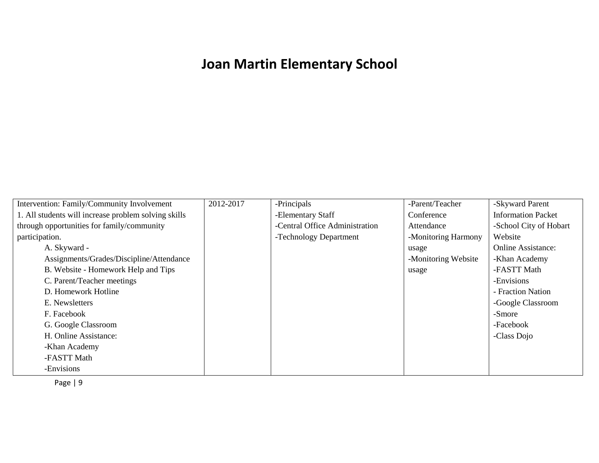| Intervention: Family/Community Involvement           | 2012-2017 | -Principals                    | -Parent/Teacher     | -Skyward Parent           |
|------------------------------------------------------|-----------|--------------------------------|---------------------|---------------------------|
| 1. All students will increase problem solving skills |           | -Elementary Staff              | Conference          | <b>Information Packet</b> |
| through opportunities for family/community           |           | -Central Office Administration | Attendance          | -School City of Hobart    |
| participation.                                       |           | -Technology Department         | -Monitoring Harmony | Website                   |
| A. Skyward -                                         |           |                                | usage               | <b>Online Assistance:</b> |
| Assignments/Grades/Discipline/Attendance             |           |                                | -Monitoring Website | -Khan Academy             |
| B. Website - Homework Help and Tips                  |           |                                | usage               | -FASTT Math               |
| C. Parent/Teacher meetings                           |           |                                |                     | -Envisions                |
| D. Homework Hotline                                  |           |                                |                     | - Fraction Nation         |
| E. Newsletters                                       |           |                                |                     | -Google Classroom         |
| F. Facebook                                          |           |                                |                     | -Smore                    |
| G. Google Classroom                                  |           |                                |                     | -Facebook                 |
| H. Online Assistance:                                |           |                                |                     | -Class Dojo               |
| -Khan Academy                                        |           |                                |                     |                           |
| -FASTT Math                                          |           |                                |                     |                           |
| -Envisions                                           |           |                                |                     |                           |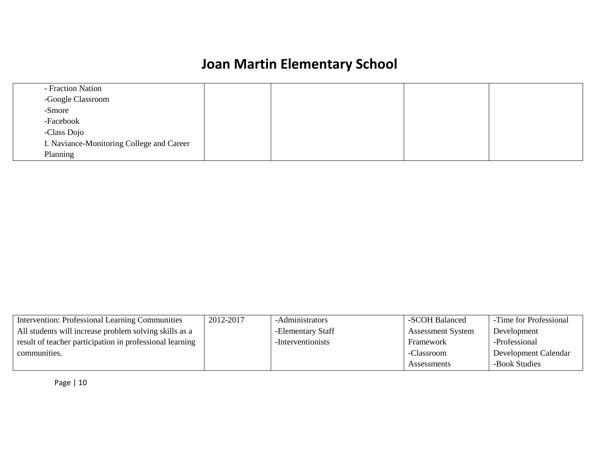| - Fraction Nation                         |  |  |
|-------------------------------------------|--|--|
| -Google Classroom                         |  |  |
| -Smore                                    |  |  |
| -Facebook                                 |  |  |
| -Class Dojo                               |  |  |
| I. Naviance-Monitoring College and Career |  |  |
| Planning                                  |  |  |

| Intervention: Professional Learning Communities          | 2012-2017 | -Administrators   | -SCOH Balanced           | -Time for Professional |
|----------------------------------------------------------|-----------|-------------------|--------------------------|------------------------|
| All students will increase problem solving skills as a   |           | -Elementary Staff | <b>Assessment System</b> | Development            |
| result of teacher participation in professional learning |           | -Interventionists | Framework                | -Professional          |
| communities.                                             |           |                   | -Classroom               | Development Calendar   |
|                                                          |           |                   | Assessments              | -Book Studies          |